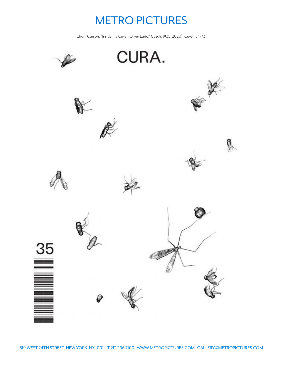## METRO PICTURES

Chan, Carson. "Inside the Cover: Oliver Laric," *CURA.* (#35, 2020): Cover, 54-73.

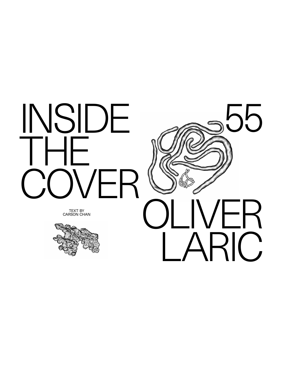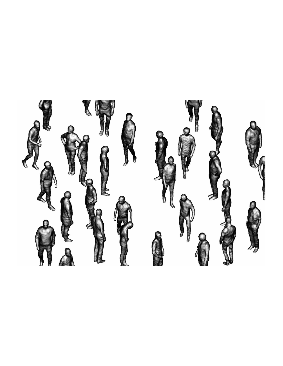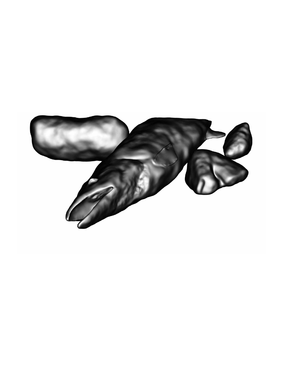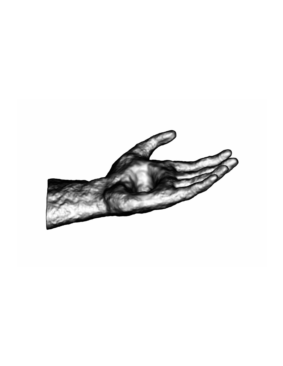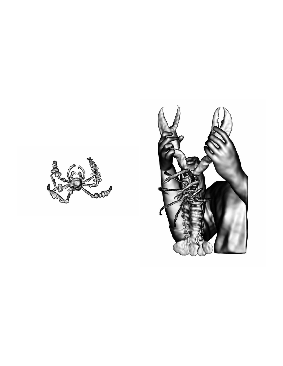

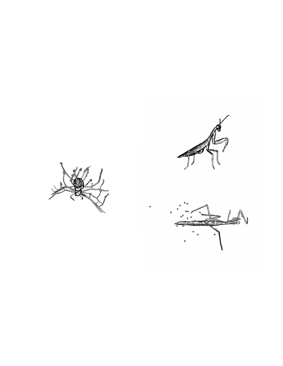





Ó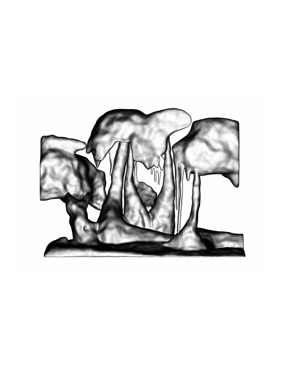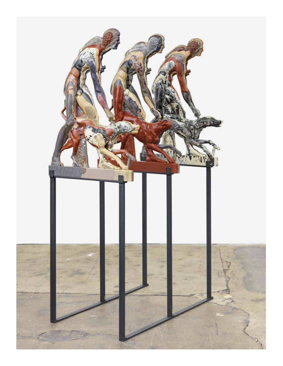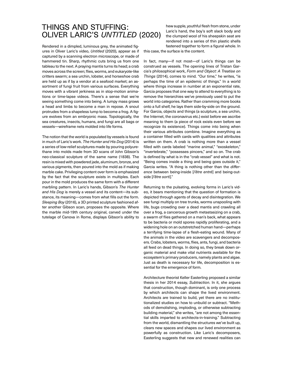## THINGS AND STUFFING: OLIVER LARIC'S *UNTITLED* (2020)

Rendered in a dimpled, luminous grey, the animated figures in Oliver Laric's video, *Untitled* (2020), appear as if captured by a scanning electron microscope, or made of hammered tin. Sharp, rhythmic cuts bring us from one tableau to the next. A praying mantis turns its head; a crab moves across the screen; flies, worms, and eukaryote-like critters swarm; a sea urchin, lobster, and horseshoe crab are held up as if by a vendor at a seafood market; an assortment of fungi fruit from various surfaces. Everything moves with a vibrant jerkiness as in stop-motion animations or time-lapse videos. There's a sense that we're seeing something come into being. A lumpy mass grows a head and limbs to become a man in repose. A snout protrudes from a shapeless lump to become a frog. A figure evolves from an embryonic mass. Topologically, the sea creatures, insects, humans, and fungi are all bags or vessels—wireframe nets molded into life forms.

The notion that the world is populated by vessels is found in much of Laric's work. *The Hunter and His Dog* (2014) is a series of low-relief sculptures made by pouring polyurethane into molds made from 3D scans of John Gibson's neo-classical sculpture of the same name (1838). The resin is mixed with powdered jade, aluminum, bronze, and various pigments, then poured into the mold as if making marble cake. Privileging content over form is emphasized by the fact that the sculpture exists in multiples. Each pour in the mold produces the same form with a different marbling pattern. In Laric's hands, Gibson's *The Hunter and His Dog* is merely a vessel and its content—its substance, its meaning—comes from what fills out the form. *Sleeping Boy* (2016), a 3D printed sculpture fashioned after another Gibson scan, proposes the opposite. Where the marble mid-19th century original, carved under the tutelage of Canova in Rome, displays Gibson's ability to

hew supple, youthful flesh from stone, under Laric's hand, the boy's soft slack body and the clumped wool of his sheepskin seat are rendered into a series of thin plastic shells fastened together to form a figural whole. In

this case, the surface is the content.

In fact, many—if not most—of Laric's things can be construed as vessels. The opening lines of Tristan Garcia's philosophical work, *Form and Object: A Treatise on Things* (2014), comes to mind. "Our time," he writes, "is perhaps the time of an epidemic of things." In a world where things increase in number at an exponential rate, Garcia proposes that one way to attend to everything is to remove the hierarchies we've previously used to put the world into categories. Rather than cramming more books onto a full shelf, he lays them side-by-side on the ground. For Garcia, objects and things (a sculpture, a sea urchin, the Internet, the coronavirus etc.) exist before we ascribe meaning to them (a piece of rock exists even before we recognize its existence). Things come into being when their various attributes combine. Imagine everything as a container filled with cards with qualities and attributes written on them. A crab is nothing more than a vessel filled with cards labeled "marine animal," "exoskeleton," "invertebrate," "possesses pincers," and so on. The crab is defined by what is in the "crab vessel" and what is not. "Being comes inside a thing and being goes outside it," Garcia writes. "A thing is nothing other than the *difference* between being-inside [*l'être entré*] and being-outside [*l'être sorti*]."

Returning to the pulsating, evolving forms in Laric's video, it bears mentioning that the question of formation is depicted through agents of decay and disintegration. We see fungi multiply on tree trunks, worms unspooling with life, bugs crowding over a dead mantis and crawling all over a frog, a cancerous growth metastasizing on a crab, a swarm of flies gathered on a man's back, what appears to be bacteria or mold spores rapidly proliferating, and a widening hole on an outstretched human hand—perhaps a terrifying time-lapse of a flesh-eating wound. Many of the animals in the video are scavengers and decomposers. Crabs, lobsters, worms, flies, ants, fungi, and bacteria all feed on dead things. In doing so, they break down organic material and make vital nutrients available for the ecosystem's primary producers, namely plants and algae. Just as death is necessary for life, decomposition is essential for the emergence of form.

Architecture theorist Keller Easterling proposed a similar thesis in her 2014 essay, *Subtraction*. In it, she argues that construction, though dominant, is only one process by which architects can shape the lived environment. Architects are trained to build, yet there are no institutionalized studies on how to unbuild or subtract. "Methods of demolishing, imploding, or otherwise subtracting building material," she writes, "are not among the essential skills imparted to architects-in-training." Subtracting from the world, dismantling the structures we've built up, clears new spaces and shapes our lived environment as powerfully as construction. Like Laric's decomposers, Easterling suggests that new and renewed realities can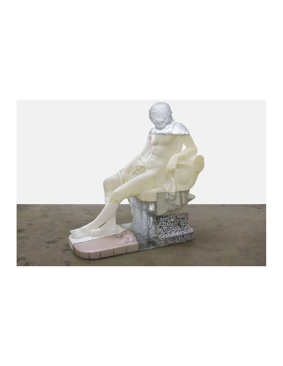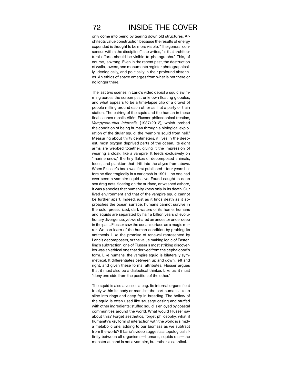## 72

## INSIDE THE COVER

only come into being by tearing down old structures. Architects value construction because the results of energy expended is thought to be more visible. "The general consensus within the discipline," she writes, "is that architectural efforts should be visible to photographs." This, of course, is wrong. Even in the recent past, the destruction of walls, towers, and monuments register photographically, ideologically, and politically in their profound absences. An ethics of space emerges from what is not there or no longer there.

The last two scenes in Laric's video depict a squid swimming across the screen past unknown floating globules, and what appears to be a time-lapse clip of a crowd of people milling around each other as if at a party or train station. The pairing of the squid and the human in these final scenes recalls Vilém Flusser philosophical treatise, *Vampyroteuthis Infernalis* (1987/2012), which probed the condition of being human through a biological exploration of the titular squid, the "vampire squid from hell." Measuring about thirty centimeters, it lives in the deepest, most oxygen deprived parts of the ocean. Its eight arms are webbed together, giving it the impression of wearing a cloak, like a vampire. It feeds exclusively on "marine snow," the tiny flakes of decomposed animals, feces, and plankton that drift into the abyss from above. When Flusser's book was first published—four years before he died tragically in a car crash in 1991—no one had ever seen a vampire squid alive. Found caught in deep sea drag nets, floating on the surface, or washed ashore, it was a species that humanity knew only in its death. Our lived environment and that of the vampire squid cannot be further apart. Indeed, just as it finds death as it approaches the ocean surface, humans cannot survive in the cold, pressurized, dark waters of its home; humans and squids are separated by half a billion years of evolutionary divergence, yet we shared an ancestor once, deep in the past. Flusser saw the ocean surface as a magic mirror. We can learn of the human condition by probing its antithesis. Like the promise of renewal represented by Laric's decomposers, or the value making logic of Easterling's subtraction, one of Flusser's most striking discoveries was an ethical one that derived from the cephalopod's form. Like humans, the vampire squid is bilaterally symmetrical. It differentiates between up and down, left and right, and given these formal attributes, Flusser argues that it must also be a dialectical thinker. Like us, it must "deny one side from the position of the other."

The squid is also a vessel, a bag. Its internal organs float freely within its body or mantle—the part humans like to slice into rings and deep fry in breading. The hollow of the squid is often used like sausage casing and stuffed with other ingredients; stuffed squid is enjoyed by coastal communities around the world. What would Flusser say about this? Forget aesthetics, forget philosophy, what if humanity's key form of interaction with the world is simply a metabolic one, adding to our biomass as we subtract from the world? If Laric's video suggests a topological affinity between all organisms—humans, squids etc.—the monster at hand is not a vampire, but rather, a cannibal.